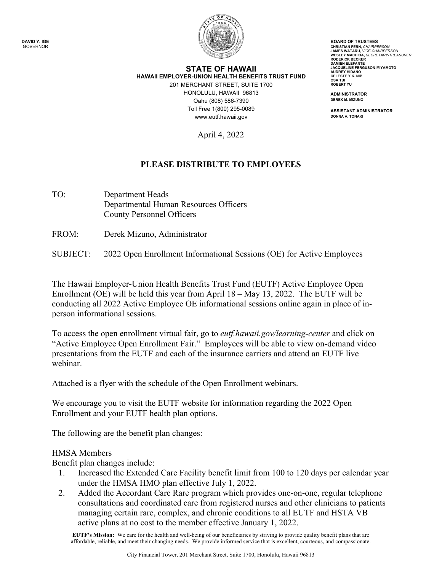

## Toll Free 1(800) 295-0089 **STATE OF HAWAII HAWAII EMPLOYER-UNION HEALTH BENEFITS TRUST FUND**  201 MERCHANT STREET, SUITE 1700 HONOLULU, HAWAII 96813 **ADMINISTRATOR**  Oahu (808) 586-7390 **DEREK M. MIZUNO**  <www.eutf.hawaii.gov>

April 4, 2022

## **PLEASE DISTRIBUTE TO EMPLOYEES**

- TO: Department Heads Departmental Human Resources Officers County Personnel Officers
- FROM: Derek Mizuno, Administrator

SUBJECT: 2022 Open Enrollment Informational Sessions (OE) for Active Employees

The Hawaii Employer-Union Health Benefits Trust Fund (EUTF) Active Employee Open Enrollment (OE) will be held this year from April 18 – May 13, 2022. The EUTF will be conducting all 2022 Active Employee OE informational sessions online again in place of inperson informational sessions.

To access the open enrollment virtual fair, go to *[eutf.hawaii.gov/learning-center](https://eutf.hawaii.gov/learning-center)* and click on "Active Employee Open Enrollment Fair." Employees will be able to view on-demand video presentations from the EUTF and each of the insurance carriers and attend an EUTF live webinar.

Attached is a flyer with the schedule of the Open Enrollment webinars.

We encourage you to visit the EUTF website for information regarding the 2022 Open Enrollment and your EUTF health plan options.

The following are the benefit plan changes:

## HMSA Members

Benefit plan changes include:

- 1. Increased the Extended Care Facility benefit limit from 100 to 120 days per calendar year under the HMSA HMO plan effective July 1, 2022.
- 2. Added the Accordant Care Rare program which provides one-on-one, regular telephone consultations and coordinated care from registered nurses and other clinicians to patients managing certain rare, complex, and chronic conditions to all EUTF and HSTA VB active plans at no cost to the member effective January 1, 2022.

**EUTF's Mission:** We care for the health and well-being of our beneficiaries by striving to provide quality benefit plans that are affordable, reliable, and meet their changing needs. We provide informed service that is excellent, courteous, and compassionate.

 **AUDREY HIDANO CELESTE Y.K. NIP BOARD OF TRUSTEES CHRISTIAN FERN,** *CHAIRPERSON*  **JAMES WATARU,** *VICE-CHAIRPERSON*  **WESLEY MACHIDA,** *SECRETARY-TREASURER*  **RODERICK BECKER DAMIEN ELEFANTE JACQUELINE FERGUSON-MIYAMOTO OSA TUI ROBERT YU**

**ASSISTANT ADMINISTRATOR DONNA A. TONAKI**